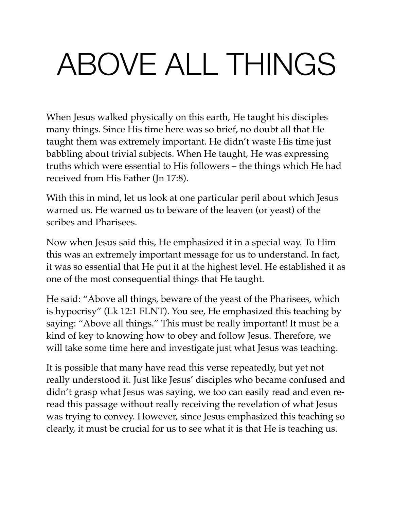# ABOVE ALL THINGS

When Jesus walked physically on this earth, He taught his disciples many things. Since His time here was so brief, no doubt all that He taught them was extremely important. He didn't waste His time just babbling about trivial subjects. When He taught, He was expressing truths which were essential to His followers – the things which He had received from His Father (Jn 17:8).

With this in mind, let us look at one particular peril about which Jesus warned us. He warned us to beware of the leaven (or yeast) of the scribes and Pharisees.

Now when Jesus said this, He emphasized it in a special way. To Him this was an extremely important message for us to understand. In fact, it was so essential that He put it at the highest level. He established it as one of the most consequential things that He taught.

He said: "Above all things, beware of the yeast of the Pharisees, which is hypocrisy" (Lk 12:1 FLNT). You see, He emphasized this teaching by saying: "Above all things." This must be really important! It must be a kind of key to knowing how to obey and follow Jesus. Therefore, we will take some time here and investigate just what Jesus was teaching.

It is possible that many have read this verse repeatedly, but yet not really understood it. Just like Jesus' disciples who became confused and didn't grasp what Jesus was saying, we too can easily read and even reread this passage without really receiving the revelation of what Jesus was trying to convey. However, since Jesus emphasized this teaching so clearly, it must be crucial for us to see what it is that He is teaching us.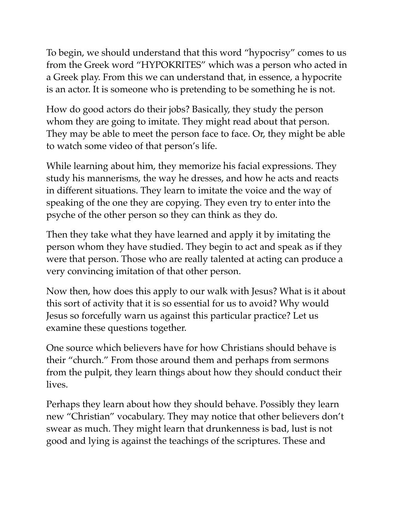To begin, we should understand that this word "hypocrisy" comes to us from the Greek word "HYPOKRITES" which was a person who acted in a Greek play. From this we can understand that, in essence, a hypocrite is an actor. It is someone who is pretending to be something he is not.

How do good actors do their jobs? Basically, they study the person whom they are going to imitate. They might read about that person. They may be able to meet the person face to face. Or, they might be able to watch some video of that person's life.

While learning about him, they memorize his facial expressions. They study his mannerisms, the way he dresses, and how he acts and reacts in different situations. They learn to imitate the voice and the way of speaking of the one they are copying. They even try to enter into the psyche of the other person so they can think as they do.

Then they take what they have learned and apply it by imitating the person whom they have studied. They begin to act and speak as if they were that person. Those who are really talented at acting can produce a very convincing imitation of that other person.

Now then, how does this apply to our walk with Jesus? What is it about this sort of activity that it is so essential for us to avoid? Why would Jesus so forcefully warn us against this particular practice? Let us examine these questions together.

One source which believers have for how Christians should behave is their "church." From those around them and perhaps from sermons from the pulpit, they learn things about how they should conduct their lives.

Perhaps they learn about how they should behave. Possibly they learn new "Christian" vocabulary. They may notice that other believers don't swear as much. They might learn that drunkenness is bad, lust is not good and lying is against the teachings of the scriptures. These and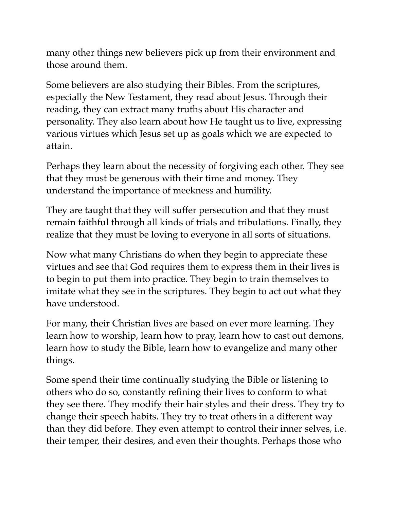many other things new believers pick up from their environment and those around them.

Some believers are also studying their Bibles. From the scriptures, especially the New Testament, they read about Jesus. Through their reading, they can extract many truths about His character and personality. They also learn about how He taught us to live, expressing various virtues which Jesus set up as goals which we are expected to attain.

Perhaps they learn about the necessity of forgiving each other. They see that they must be generous with their time and money. They understand the importance of meekness and humility.

They are taught that they will suffer persecution and that they must remain faithful through all kinds of trials and tribulations. Finally, they realize that they must be loving to everyone in all sorts of situations.

Now what many Christians do when they begin to appreciate these virtues and see that God requires them to express them in their lives is to begin to put them into practice. They begin to train themselves to imitate what they see in the scriptures. They begin to act out what they have understood.

For many, their Christian lives are based on ever more learning. They learn how to worship, learn how to pray, learn how to cast out demons, learn how to study the Bible, learn how to evangelize and many other things.

Some spend their time continually studying the Bible or listening to others who do so, constantly refining their lives to conform to what they see there. They modify their hair styles and their dress. They try to change their speech habits. They try to treat others in a different way than they did before. They even attempt to control their inner selves, i.e. their temper, their desires, and even their thoughts. Perhaps those who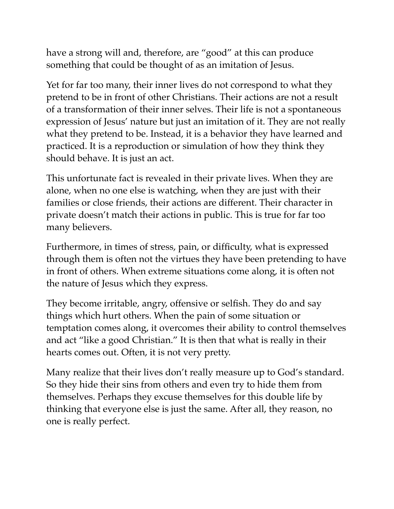have a strong will and, therefore, are "good" at this can produce something that could be thought of as an imitation of Jesus.

Yet for far too many, their inner lives do not correspond to what they pretend to be in front of other Christians. Their actions are not a result of a transformation of their inner selves. Their life is not a spontaneous expression of Jesus' nature but just an imitation of it. They are not really what they pretend to be. Instead, it is a behavior they have learned and practiced. It is a reproduction or simulation of how they think they should behave. It is just an act.

This unfortunate fact is revealed in their private lives. When they are alone, when no one else is watching, when they are just with their families or close friends, their actions are different. Their character in private doesn't match their actions in public. This is true for far too many believers.

Furthermore, in times of stress, pain, or difficulty, what is expressed through them is often not the virtues they have been pretending to have in front of others. When extreme situations come along, it is often not the nature of Jesus which they express.

They become irritable, angry, offensive or selfish. They do and say things which hurt others. When the pain of some situation or temptation comes along, it overcomes their ability to control themselves and act "like a good Christian." It is then that what is really in their hearts comes out. Often, it is not very pretty.

Many realize that their lives don't really measure up to God's standard. So they hide their sins from others and even try to hide them from themselves. Perhaps they excuse themselves for this double life by thinking that everyone else is just the same. After all, they reason, no one is really perfect.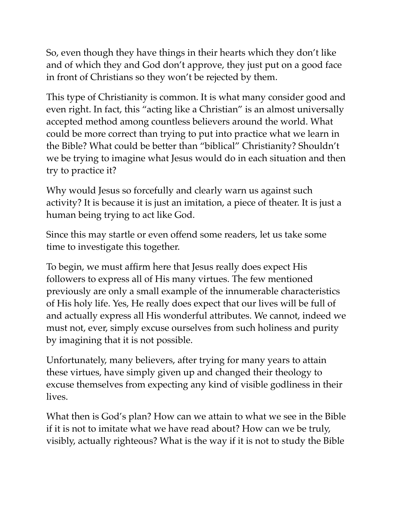So, even though they have things in their hearts which they don't like and of which they and God don't approve, they just put on a good face in front of Christians so they won't be rejected by them.

This type of Christianity is common. It is what many consider good and even right. In fact, this "acting like a Christian" is an almost universally accepted method among countless believers around the world. What could be more correct than trying to put into practice what we learn in the Bible? What could be better than "biblical" Christianity? Shouldn't we be trying to imagine what Jesus would do in each situation and then try to practice it?

Why would Jesus so forcefully and clearly warn us against such activity? It is because it is just an imitation, a piece of theater. It is just a human being trying to act like God.

Since this may startle or even offend some readers, let us take some time to investigate this together.

To begin, we must affirm here that Jesus really does expect His followers to express all of His many virtues. The few mentioned previously are only a small example of the innumerable characteristics of His holy life. Yes, He really does expect that our lives will be full of and actually express all His wonderful attributes. We cannot, indeed we must not, ever, simply excuse ourselves from such holiness and purity by imagining that it is not possible.

Unfortunately, many believers, after trying for many years to attain these virtues, have simply given up and changed their theology to excuse themselves from expecting any kind of visible godliness in their lives.

What then is God's plan? How can we attain to what we see in the Bible if it is not to imitate what we have read about? How can we be truly, visibly, actually righteous? What is the way if it is not to study the Bible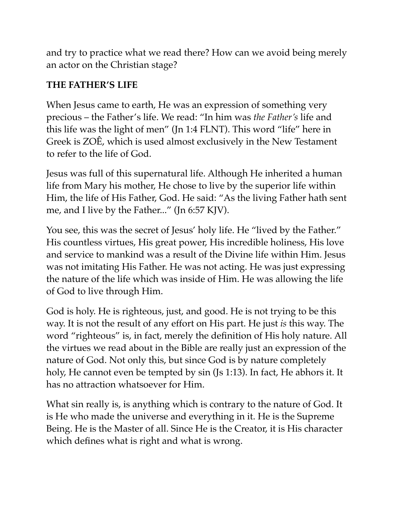and try to practice what we read there? How can we avoid being merely an actor on the Christian stage?

#### **THE FATHER'S LIFE**

When Jesus came to earth, He was an expression of something very precious – the Father's life. We read: "In him was *the Father's* life and this life was the light of men" (Jn 1:4 FLNT). This word "life" here in Greek is ZOÊ, which is used almost exclusively in the New Testament to refer to the life of God.

Jesus was full of this supernatural life. Although He inherited a human life from Mary his mother, He chose to live by the superior life within Him, the life of His Father, God. He said: "As the living Father hath sent me, and I live by the Father..." (Jn 6:57 KJV).

You see, this was the secret of Jesus' holy life. He "lived by the Father." His countless virtues, His great power, His incredible holiness, His love and service to mankind was a result of the Divine life within Him. Jesus was not imitating His Father. He was not acting. He was just expressing the nature of the life which was inside of Him. He was allowing the life of God to live through Him.

God is holy. He is righteous, just, and good. He is not trying to be this way. It is not the result of any effort on His part. He just *is* this way. The word "righteous" is, in fact, merely the definition of His holy nature. All the virtues we read about in the Bible are really just an expression of the nature of God. Not only this, but since God is by nature completely holy, He cannot even be tempted by sin (Js 1:13). In fact, He abhors it. It has no attraction whatsoever for Him.

What sin really is, is anything which is contrary to the nature of God. It is He who made the universe and everything in it. He is the Supreme Being. He is the Master of all. Since He is the Creator, it is His character which defines what is right and what is wrong.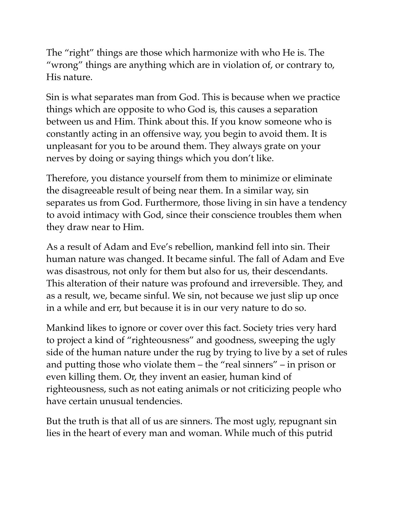The "right" things are those which harmonize with who He is. The "wrong" things are anything which are in violation of, or contrary to, His nature.

Sin is what separates man from God. This is because when we practice things which are opposite to who God is, this causes a separation between us and Him. Think about this. If you know someone who is constantly acting in an offensive way, you begin to avoid them. It is unpleasant for you to be around them. They always grate on your nerves by doing or saying things which you don't like.

Therefore, you distance yourself from them to minimize or eliminate the disagreeable result of being near them. In a similar way, sin separates us from God. Furthermore, those living in sin have a tendency to avoid intimacy with God, since their conscience troubles them when they draw near to Him.

As a result of Adam and Eve's rebellion, mankind fell into sin. Their human nature was changed. It became sinful. The fall of Adam and Eve was disastrous, not only for them but also for us, their descendants. This alteration of their nature was profound and irreversible. They, and as a result, we, became sinful. We sin, not because we just slip up once in a while and err, but because it is in our very nature to do so.

Mankind likes to ignore or cover over this fact. Society tries very hard to project a kind of "righteousness" and goodness, sweeping the ugly side of the human nature under the rug by trying to live by a set of rules and putting those who violate them – the "real sinners" – in prison or even killing them. Or, they invent an easier, human kind of righteousness, such as not eating animals or not criticizing people who have certain unusual tendencies.

But the truth is that all of us are sinners. The most ugly, repugnant sin lies in the heart of every man and woman. While much of this putrid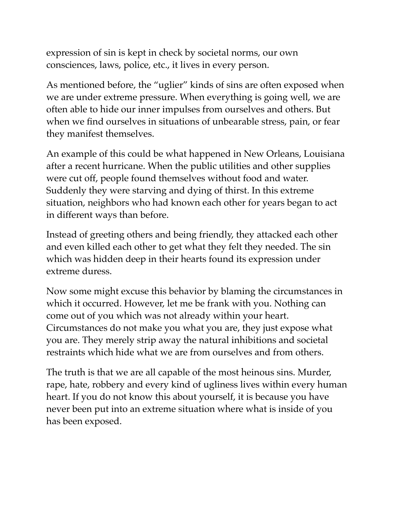expression of sin is kept in check by societal norms, our own consciences, laws, police, etc., it lives in every person.

As mentioned before, the "uglier" kinds of sins are often exposed when we are under extreme pressure. When everything is going well, we are often able to hide our inner impulses from ourselves and others. But when we find ourselves in situations of unbearable stress, pain, or fear they manifest themselves.

An example of this could be what happened in New Orleans, Louisiana after a recent hurricane. When the public utilities and other supplies were cut off, people found themselves without food and water. Suddenly they were starving and dying of thirst. In this extreme situation, neighbors who had known each other for years began to act in different ways than before.

Instead of greeting others and being friendly, they attacked each other and even killed each other to get what they felt they needed. The sin which was hidden deep in their hearts found its expression under extreme duress.

Now some might excuse this behavior by blaming the circumstances in which it occurred. However, let me be frank with you. Nothing can come out of you which was not already within your heart. Circumstances do not make you what you are, they just expose what you are. They merely strip away the natural inhibitions and societal restraints which hide what we are from ourselves and from others.

The truth is that we are all capable of the most heinous sins. Murder, rape, hate, robbery and every kind of ugliness lives within every human heart. If you do not know this about yourself, it is because you have never been put into an extreme situation where what is inside of you has been exposed.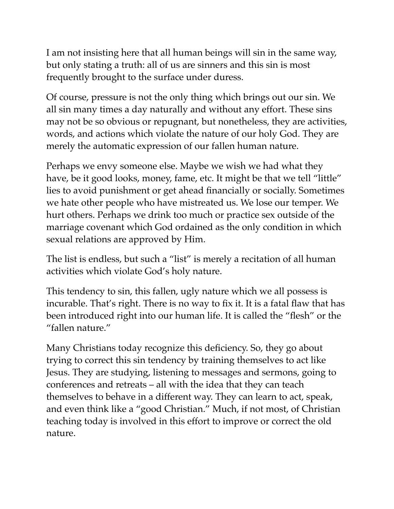I am not insisting here that all human beings will sin in the same way, but only stating a truth: all of us are sinners and this sin is most frequently brought to the surface under duress.

Of course, pressure is not the only thing which brings out our sin. We all sin many times a day naturally and without any effort. These sins may not be so obvious or repugnant, but nonetheless, they are activities, words, and actions which violate the nature of our holy God. They are merely the automatic expression of our fallen human nature.

Perhaps we envy someone else. Maybe we wish we had what they have, be it good looks, money, fame, etc. It might be that we tell "little" lies to avoid punishment or get ahead financially or socially. Sometimes we hate other people who have mistreated us. We lose our temper. We hurt others. Perhaps we drink too much or practice sex outside of the marriage covenant which God ordained as the only condition in which sexual relations are approved by Him.

The list is endless, but such a "list" is merely a recitation of all human activities which violate God's holy nature.

This tendency to sin, this fallen, ugly nature which we all possess is incurable. That's right. There is no way to fix it. It is a fatal flaw that has been introduced right into our human life. It is called the "flesh" or the "fallen nature."

Many Christians today recognize this deficiency. So, they go about trying to correct this sin tendency by training themselves to act like Jesus. They are studying, listening to messages and sermons, going to conferences and retreats – all with the idea that they can teach themselves to behave in a different way. They can learn to act, speak, and even think like a "good Christian." Much, if not most, of Christian teaching today is involved in this effort to improve or correct the old nature.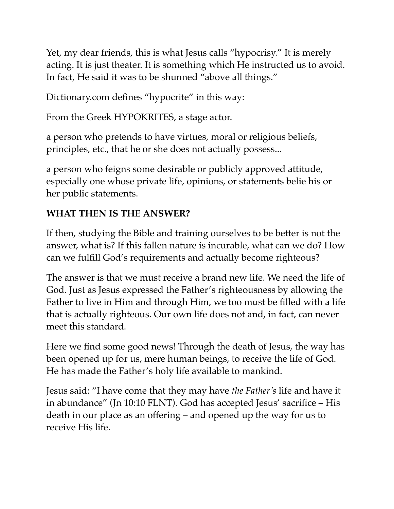Yet, my dear friends, this is what Jesus calls "hypocrisy." It is merely acting. It is just theater. It is something which He instructed us to avoid. In fact, He said it was to be shunned "above all things."

Dictionary.com defines "hypocrite" in this way:

From the Greek HYPOKRITES, a stage actor.

a person who pretends to have virtues, moral or religious beliefs, principles, etc., that he or she does not actually possess...

a person who feigns some desirable or publicly approved attitude, especially one whose private life, opinions, or statements belie his or her public statements.

## **WHAT THEN IS THE ANSWER?**

If then, studying the Bible and training ourselves to be better is not the answer, what is? If this fallen nature is incurable, what can we do? How can we fulfill God's requirements and actually become righteous?

The answer is that we must receive a brand new life. We need the life of God. Just as Jesus expressed the Father's righteousness by allowing the Father to live in Him and through Him, we too must be filled with a life that is actually righteous. Our own life does not and, in fact, can never meet this standard.

Here we find some good news! Through the death of Jesus, the way has been opened up for us, mere human beings, to receive the life of God. He has made the Father's holy life available to mankind.

Jesus said: "I have come that they may have *the Father's* life and have it in abundance" (Jn 10:10 FLNT). God has accepted Jesus' sacrifice – His death in our place as an offering – and opened up the way for us to receive His life.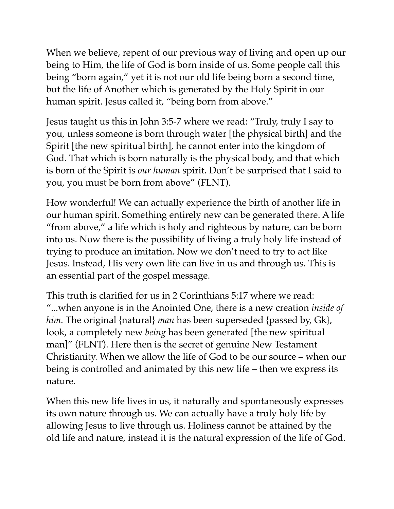When we believe, repent of our previous way of living and open up our being to Him, the life of God is born inside of us. Some people call this being "born again," yet it is not our old life being born a second time, but the life of Another which is generated by the Holy Spirit in our human spirit. Jesus called it, "being born from above."

Jesus taught us this in John 3:5-7 where we read: "Truly, truly I say to you, unless someone is born through water [the physical birth] and the Spirit [the new spiritual birth], he cannot enter into the kingdom of God. That which is born naturally is the physical body, and that which is born of the Spirit is *our human* spirit. Don't be surprised that I said to you, you must be born from above" (FLNT).

How wonderful! We can actually experience the birth of another life in our human spirit. Something entirely new can be generated there. A life "from above," a life which is holy and righteous by nature, can be born into us. Now there is the possibility of living a truly holy life instead of trying to produce an imitation. Now we don't need to try to act like Jesus. Instead, His very own life can live in us and through us. This is an essential part of the gospel message.

This truth is clarified for us in 2 Corinthians 5:17 where we read: "...when anyone is in the Anointed One, there is a new creation *inside of him.* The original {natural} *man* has been superseded {passed by, Gk}, look, a completely new *being* has been generated [the new spiritual man]" (FLNT). Here then is the secret of genuine New Testament Christianity. When we allow the life of God to be our source – when our being is controlled and animated by this new life – then we express its nature.

When this new life lives in us, it naturally and spontaneously expresses its own nature through us. We can actually have a truly holy life by allowing Jesus to live through us. Holiness cannot be attained by the old life and nature, instead it is the natural expression of the life of God.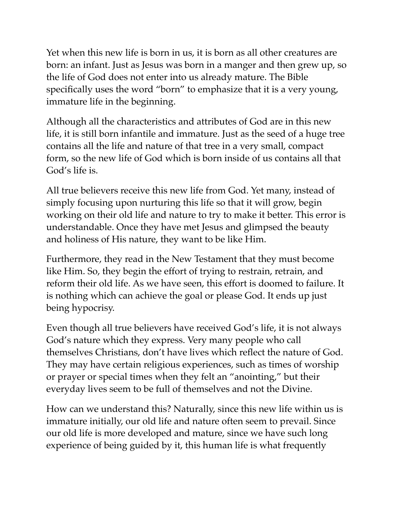Yet when this new life is born in us, it is born as all other creatures are born: an infant. Just as Jesus was born in a manger and then grew up, so the life of God does not enter into us already mature. The Bible specifically uses the word "born" to emphasize that it is a very young, immature life in the beginning.

Although all the characteristics and attributes of God are in this new life, it is still born infantile and immature. Just as the seed of a huge tree contains all the life and nature of that tree in a very small, compact form, so the new life of God which is born inside of us contains all that God's life is.

All true believers receive this new life from God. Yet many, instead of simply focusing upon nurturing this life so that it will grow, begin working on their old life and nature to try to make it better. This error is understandable. Once they have met Jesus and glimpsed the beauty and holiness of His nature, they want to be like Him.

Furthermore, they read in the New Testament that they must become like Him. So, they begin the effort of trying to restrain, retrain, and reform their old life. As we have seen, this effort is doomed to failure. It is nothing which can achieve the goal or please God. It ends up just being hypocrisy.

Even though all true believers have received God's life, it is not always God's nature which they express. Very many people who call themselves Christians, don't have lives which reflect the nature of God. They may have certain religious experiences, such as times of worship or prayer or special times when they felt an "anointing," but their everyday lives seem to be full of themselves and not the Divine.

How can we understand this? Naturally, since this new life within us is immature initially, our old life and nature often seem to prevail. Since our old life is more developed and mature, since we have such long experience of being guided by it, this human life is what frequently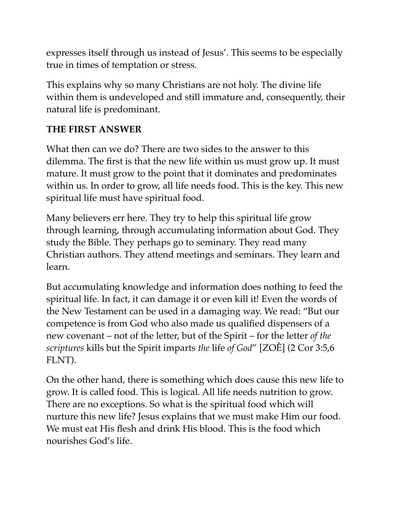expresses itself through us instead of Jesus'. This seems to be especially true in times of temptation or stress.

This explains why so many Christians are not holy. The divine life within them is undeveloped and still immature and, consequently, their natural life is predominant.

#### **THE FIRST ANSWER**

What then can we do? There are two sides to the answer to this dilemma. The first is that the new life within us must grow up. It must mature. It must grow to the point that it dominates and predominates within us. In order to grow, all life needs food. This is the key. This new spiritual life must have spiritual food.

Many believers err here. They try to help this spiritual life grow through learning, through accumulating information about God. They study the Bible. They perhaps go to seminary. They read many Christian authors. They attend meetings and seminars. They learn and learn.

But accumulating knowledge and information does nothing to feed the spiritual life. In fact, it can damage it or even kill it! Even the words of the New Testament can be used in a damaging way. We read: "But our competence is from God who also made us qualified dispensers of a new covenant – not of the letter, but of the Spirit – for the letter *of the scriptures* kills but the Spirit imparts *the* life *of God*" [ZOÊ] (2 Cor 3:5,6 FLNT).

On the other hand, there is something which does cause this new life to grow. It is called food. This is logical. All life needs nutrition to grow. There are no exceptions. So what is the spiritual food which will nurture this new life? Jesus explains that we must make Him our food. We must eat His flesh and drink His blood. This is the food which nourishes God's life.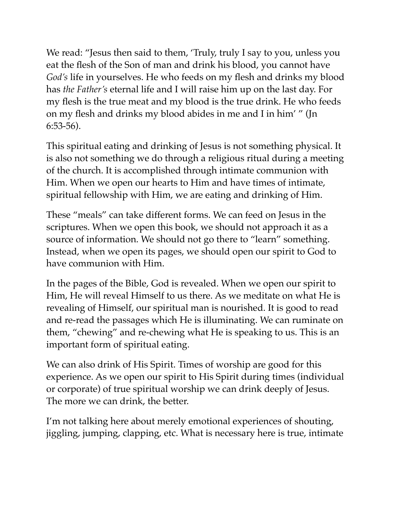We read: "Jesus then said to them, 'Truly, truly I say to you, unless you eat the flesh of the Son of man and drink his blood, you cannot have *God's* life in yourselves. He who feeds on my flesh and drinks my blood has *the Father's* eternal life and I will raise him up on the last day. For my flesh is the true meat and my blood is the true drink. He who feeds on my flesh and drinks my blood abides in me and I in him' " (Jn 6:53-56).

This spiritual eating and drinking of Jesus is not something physical. It is also not something we do through a religious ritual during a meeting of the church. It is accomplished through intimate communion with Him. When we open our hearts to Him and have times of intimate, spiritual fellowship with Him, we are eating and drinking of Him.

These "meals" can take different forms. We can feed on Jesus in the scriptures. When we open this book, we should not approach it as a source of information. We should not go there to "learn" something. Instead, when we open its pages, we should open our spirit to God to have communion with Him.

In the pages of the Bible, God is revealed. When we open our spirit to Him, He will reveal Himself to us there. As we meditate on what He is revealing of Himself, our spiritual man is nourished. It is good to read and re-read the passages which He is illuminating. We can ruminate on them, "chewing" and re-chewing what He is speaking to us. This is an important form of spiritual eating.

We can also drink of His Spirit. Times of worship are good for this experience. As we open our spirit to His Spirit during times (individual or corporate) of true spiritual worship we can drink deeply of Jesus. The more we can drink, the better.

I'm not talking here about merely emotional experiences of shouting, jiggling, jumping, clapping, etc. What is necessary here is true, intimate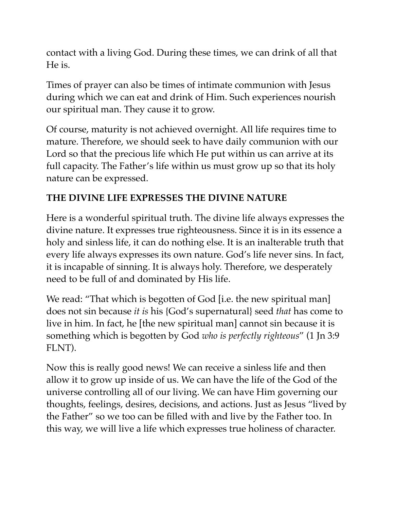contact with a living God. During these times, we can drink of all that He is.

Times of prayer can also be times of intimate communion with Jesus during which we can eat and drink of Him. Such experiences nourish our spiritual man. They cause it to grow.

Of course, maturity is not achieved overnight. All life requires time to mature. Therefore, we should seek to have daily communion with our Lord so that the precious life which He put within us can arrive at its full capacity. The Father's life within us must grow up so that its holy nature can be expressed.

## **THE DIVINE LIFE EXPRESSES THE DIVINE NATURE**

Here is a wonderful spiritual truth. The divine life always expresses the divine nature. It expresses true righteousness. Since it is in its essence a holy and sinless life, it can do nothing else. It is an inalterable truth that every life always expresses its own nature. God's life never sins. In fact, it is incapable of sinning. It is always holy. Therefore, we desperately need to be full of and dominated by His life.

We read: "That which is begotten of God [i.e. the new spiritual man] does not sin because *it is* his {God's supernatural} seed *that* has come to live in him. In fact, he [the new spiritual man] cannot sin because it is something which is begotten by God *who is perfectly righteous*" (1 Jn 3:9 FLNT).

Now this is really good news! We can receive a sinless life and then allow it to grow up inside of us. We can have the life of the God of the universe controlling all of our living. We can have Him governing our thoughts, feelings, desires, decisions, and actions. Just as Jesus "lived by the Father" so we too can be filled with and live by the Father too. In this way, we will live a life which expresses true holiness of character.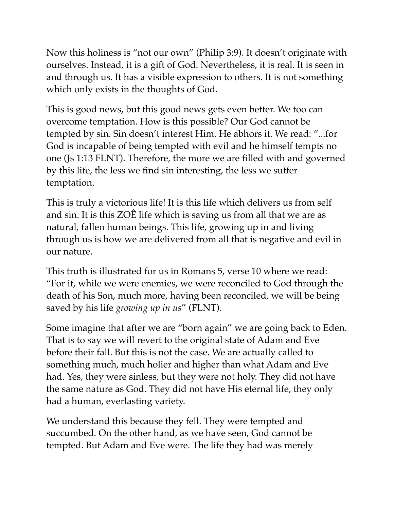Now this holiness is "not our own" (Philip 3:9). It doesn't originate with ourselves. Instead, it is a gift of God. Nevertheless, it is real. It is seen in and through us. It has a visible expression to others. It is not something which only exists in the thoughts of God.

This is good news, but this good news gets even better. We too can overcome temptation. How is this possible? Our God cannot be tempted by sin. Sin doesn't interest Him. He abhors it. We read: "...for God is incapable of being tempted with evil and he himself tempts no one (Js 1:13 FLNT). Therefore, the more we are filled with and governed by this life, the less we find sin interesting, the less we suffer temptation.

This is truly a victorious life! It is this life which delivers us from self and sin. It is this ZOÊ life which is saving us from all that we are as natural, fallen human beings. This life, growing up in and living through us is how we are delivered from all that is negative and evil in our nature.

This truth is illustrated for us in Romans 5, verse 10 where we read: "For if, while we were enemies, we were reconciled to God through the death of his Son, much more, having been reconciled, we will be being saved by his life *growing up in us*" (FLNT).

Some imagine that after we are "born again" we are going back to Eden. That is to say we will revert to the original state of Adam and Eve before their fall. But this is not the case. We are actually called to something much, much holier and higher than what Adam and Eve had. Yes, they were sinless, but they were not holy. They did not have the same nature as God. They did not have His eternal life, they only had a human, everlasting variety.

We understand this because they fell. They were tempted and succumbed. On the other hand, as we have seen, God cannot be tempted. But Adam and Eve were. The life they had was merely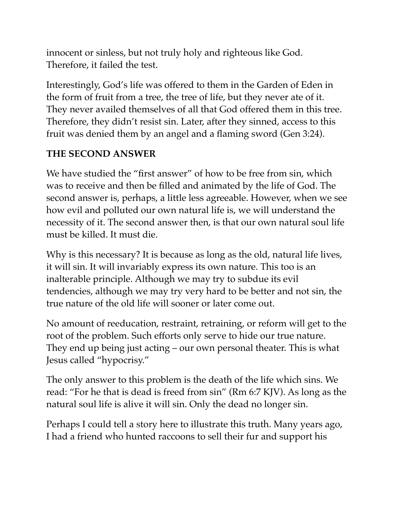innocent or sinless, but not truly holy and righteous like God. Therefore, it failed the test.

Interestingly, God's life was offered to them in the Garden of Eden in the form of fruit from a tree, the tree of life, but they never ate of it. They never availed themselves of all that God offered them in this tree. Therefore, they didn't resist sin. Later, after they sinned, access to this fruit was denied them by an angel and a flaming sword (Gen 3:24).

#### **THE SECOND ANSWER**

We have studied the "first answer" of how to be free from sin, which was to receive and then be filled and animated by the life of God. The second answer is, perhaps, a little less agreeable. However, when we see how evil and polluted our own natural life is, we will understand the necessity of it. The second answer then, is that our own natural soul life must be killed. It must die.

Why is this necessary? It is because as long as the old, natural life lives, it will sin. It will invariably express its own nature. This too is an inalterable principle. Although we may try to subdue its evil tendencies, although we may try very hard to be better and not sin, the true nature of the old life will sooner or later come out.

No amount of reeducation, restraint, retraining, or reform will get to the root of the problem. Such efforts only serve to hide our true nature. They end up being just acting – our own personal theater. This is what Jesus called "hypocrisy."

The only answer to this problem is the death of the life which sins. We read: "For he that is dead is freed from sin" (Rm 6:7 KJV). As long as the natural soul life is alive it will sin. Only the dead no longer sin.

Perhaps I could tell a story here to illustrate this truth. Many years ago, I had a friend who hunted raccoons to sell their fur and support his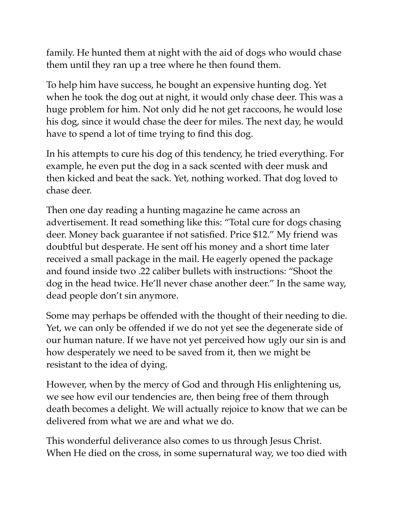family. He hunted them at night with the aid of dogs who would chase them until they ran up a tree where he then found them.

To help him have success, he bought an expensive hunting dog. Yet when he took the dog out at night, it would only chase deer. This was a huge problem for him. Not only did he not get raccoons, he would lose his dog, since it would chase the deer for miles. The next day, he would have to spend a lot of time trying to find this dog.

In his attempts to cure his dog of this tendency, he tried everything. For example, he even put the dog in a sack scented with deer musk and then kicked and beat the sack. Yet, nothing worked. That dog loved to chase deer.

Then one day reading a hunting magazine he came across an advertisement. It read something like this: "Total cure for dogs chasing deer. Money back guarantee if not satisfied. Price \$12." My friend was doubtful but desperate. He sent off his money and a short time later received a small package in the mail. He eagerly opened the package and found inside two .22 caliber bullets with instructions: "Shoot the dog in the head twice. He'll never chase another deer." In the same way, dead people don't sin anymore.

Some may perhaps be offended with the thought of their needing to die. Yet, we can only be offended if we do not yet see the degenerate side of our human nature. If we have not yet perceived how ugly our sin is and how desperately we need to be saved from it, then we might be resistant to the idea of dying.

However, when by the mercy of God and through His enlightening us, we see how evil our tendencies are, then being free of them through death becomes a delight. We will actually rejoice to know that we can be delivered from what we are and what we do.

This wonderful deliverance also comes to us through Jesus Christ. When He died on the cross, in some supernatural way, we too died with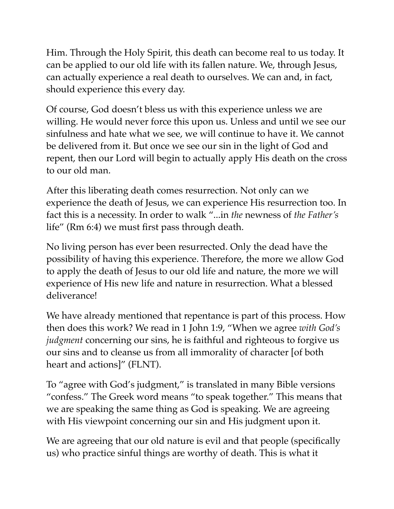Him. Through the Holy Spirit, this death can become real to us today. It can be applied to our old life with its fallen nature. We, through Jesus, can actually experience a real death to ourselves. We can and, in fact, should experience this every day.

Of course, God doesn't bless us with this experience unless we are willing. He would never force this upon us. Unless and until we see our sinfulness and hate what we see, we will continue to have it. We cannot be delivered from it. But once we see our sin in the light of God and repent, then our Lord will begin to actually apply His death on the cross to our old man.

After this liberating death comes resurrection. Not only can we experience the death of Jesus, we can experience His resurrection too. In fact this is a necessity. In order to walk "...in *the* newness of *the Father's*  life" (Rm 6:4) we must first pass through death.

No living person has ever been resurrected. Only the dead have the possibility of having this experience. Therefore, the more we allow God to apply the death of Jesus to our old life and nature, the more we will experience of His new life and nature in resurrection. What a blessed deliverance!

We have already mentioned that repentance is part of this process. How then does this work? We read in 1 John 1:9, "When we agree *with God's judgment* concerning our sins, he is faithful and righteous to forgive us our sins and to cleanse us from all immorality of character [of both heart and actions]" (FLNT).

To "agree with God's judgment," is translated in many Bible versions "confess." The Greek word means "to speak together." This means that we are speaking the same thing as God is speaking. We are agreeing with His viewpoint concerning our sin and His judgment upon it.

We are agreeing that our old nature is evil and that people (specifically us) who practice sinful things are worthy of death. This is what it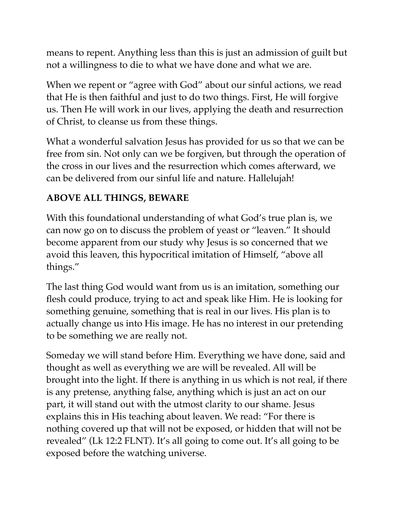means to repent. Anything less than this is just an admission of guilt but not a willingness to die to what we have done and what we are.

When we repent or "agree with God" about our sinful actions, we read that He is then faithful and just to do two things. First, He will forgive us. Then He will work in our lives, applying the death and resurrection of Christ, to cleanse us from these things.

What a wonderful salvation Jesus has provided for us so that we can be free from sin. Not only can we be forgiven, but through the operation of the cross in our lives and the resurrection which comes afterward, we can be delivered from our sinful life and nature. Hallelujah!

#### **ABOVE ALL THINGS, BEWARE**

With this foundational understanding of what God's true plan is, we can now go on to discuss the problem of yeast or "leaven." It should become apparent from our study why Jesus is so concerned that we avoid this leaven, this hypocritical imitation of Himself, "above all things."

The last thing God would want from us is an imitation, something our flesh could produce, trying to act and speak like Him. He is looking for something genuine, something that is real in our lives. His plan is to actually change us into His image. He has no interest in our pretending to be something we are really not.

Someday we will stand before Him. Everything we have done, said and thought as well as everything we are will be revealed. All will be brought into the light. If there is anything in us which is not real, if there is any pretense, anything false, anything which is just an act on our part, it will stand out with the utmost clarity to our shame. Jesus explains this in His teaching about leaven. We read: "For there is nothing covered up that will not be exposed, or hidden that will not be revealed" (Lk 12:2 FLNT). It's all going to come out. It's all going to be exposed before the watching universe.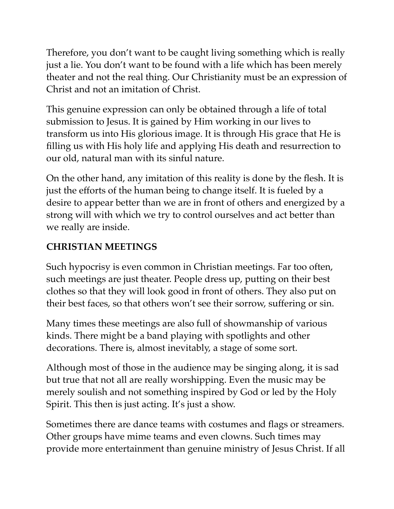Therefore, you don't want to be caught living something which is really just a lie. You don't want to be found with a life which has been merely theater and not the real thing. Our Christianity must be an expression of Christ and not an imitation of Christ.

This genuine expression can only be obtained through a life of total submission to Jesus. It is gained by Him working in our lives to transform us into His glorious image. It is through His grace that He is filling us with His holy life and applying His death and resurrection to our old, natural man with its sinful nature.

On the other hand, any imitation of this reality is done by the flesh. It is just the efforts of the human being to change itself. It is fueled by a desire to appear better than we are in front of others and energized by a strong will with which we try to control ourselves and act better than we really are inside.

# **CHRISTIAN MEETINGS**

Such hypocrisy is even common in Christian meetings. Far too often, such meetings are just theater. People dress up, putting on their best clothes so that they will look good in front of others. They also put on their best faces, so that others won't see their sorrow, suffering or sin.

Many times these meetings are also full of showmanship of various kinds. There might be a band playing with spotlights and other decorations. There is, almost inevitably, a stage of some sort.

Although most of those in the audience may be singing along, it is sad but true that not all are really worshipping. Even the music may be merely soulish and not something inspired by God or led by the Holy Spirit. This then is just acting. It's just a show.

Sometimes there are dance teams with costumes and flags or streamers. Other groups have mime teams and even clowns. Such times may provide more entertainment than genuine ministry of Jesus Christ. If all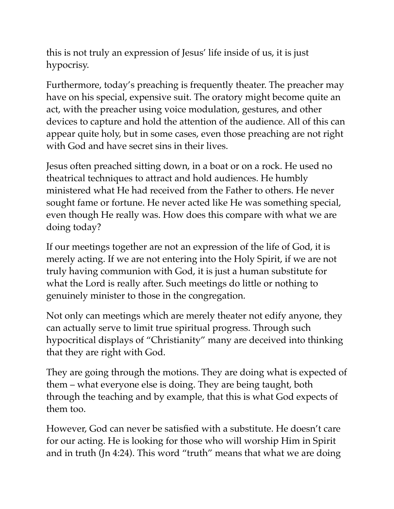this is not truly an expression of Jesus' life inside of us, it is just hypocrisy.

Furthermore, today's preaching is frequently theater. The preacher may have on his special, expensive suit. The oratory might become quite an act, with the preacher using voice modulation, gestures, and other devices to capture and hold the attention of the audience. All of this can appear quite holy, but in some cases, even those preaching are not right with God and have secret sins in their lives.

Jesus often preached sitting down, in a boat or on a rock. He used no theatrical techniques to attract and hold audiences. He humbly ministered what He had received from the Father to others. He never sought fame or fortune. He never acted like He was something special, even though He really was. How does this compare with what we are doing today?

If our meetings together are not an expression of the life of God, it is merely acting. If we are not entering into the Holy Spirit, if we are not truly having communion with God, it is just a human substitute for what the Lord is really after. Such meetings do little or nothing to genuinely minister to those in the congregation.

Not only can meetings which are merely theater not edify anyone, they can actually serve to limit true spiritual progress. Through such hypocritical displays of "Christianity" many are deceived into thinking that they are right with God.

They are going through the motions. They are doing what is expected of them – what everyone else is doing. They are being taught, both through the teaching and by example, that this is what God expects of them too.

However, God can never be satisfied with a substitute. He doesn't care for our acting. He is looking for those who will worship Him in Spirit and in truth (Jn 4:24). This word "truth" means that what we are doing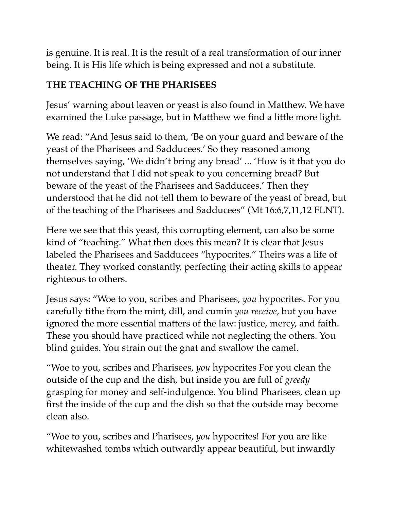is genuine. It is real. It is the result of a real transformation of our inner being. It is His life which is being expressed and not a substitute.

# **THE TEACHING OF THE PHARISEES**

Jesus' warning about leaven or yeast is also found in Matthew. We have examined the Luke passage, but in Matthew we find a little more light.

We read: "And Jesus said to them, 'Be on your guard and beware of the yeast of the Pharisees and Sadducees.' So they reasoned among themselves saying, 'We didn't bring any bread' ... 'How is it that you do not understand that I did not speak to you concerning bread? But beware of the yeast of the Pharisees and Sadducees.' Then they understood that he did not tell them to beware of the yeast of bread, but of the teaching of the Pharisees and Sadducees" (Mt 16:6,7,11,12 FLNT).

Here we see that this yeast, this corrupting element, can also be some kind of "teaching." What then does this mean? It is clear that Jesus labeled the Pharisees and Sadducees "hypocrites." Theirs was a life of theater. They worked constantly, perfecting their acting skills to appear righteous to others.

Jesus says: "Woe to you, scribes and Pharisees, *you* hypocrites. For you carefully tithe from the mint, dill, and cumin *you receive,* but you have ignored the more essential matters of the law: justice, mercy, and faith. These you should have practiced while not neglecting the others. You blind guides. You strain out the gnat and swallow the camel.

"Woe to you, scribes and Pharisees, *you* hypocrites For you clean the outside of the cup and the dish, but inside you are full of *greedy*  grasping for money and self-indulgence. You blind Pharisees, clean up first the inside of the cup and the dish so that the outside may become clean also.

"Woe to you, scribes and Pharisees, *you* hypocrites! For you are like whitewashed tombs which outwardly appear beautiful, but inwardly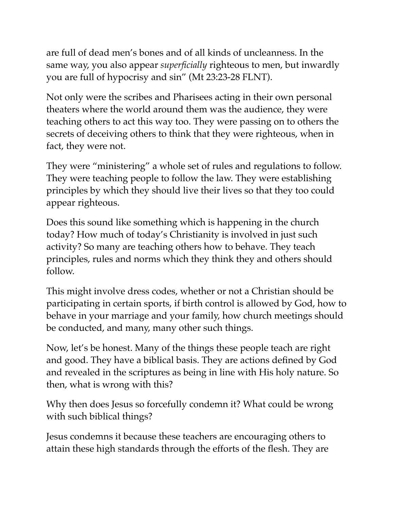are full of dead men's bones and of all kinds of uncleanness. In the same way, you also appear *superficially* righteous to men, but inwardly you are full of hypocrisy and sin" (Mt 23:23-28 FLNT).

Not only were the scribes and Pharisees acting in their own personal theaters where the world around them was the audience, they were teaching others to act this way too. They were passing on to others the secrets of deceiving others to think that they were righteous, when in fact, they were not.

They were "ministering" a whole set of rules and regulations to follow. They were teaching people to follow the law. They were establishing principles by which they should live their lives so that they too could appear righteous.

Does this sound like something which is happening in the church today? How much of today's Christianity is involved in just such activity? So many are teaching others how to behave. They teach principles, rules and norms which they think they and others should follow.

This might involve dress codes, whether or not a Christian should be participating in certain sports, if birth control is allowed by God, how to behave in your marriage and your family, how church meetings should be conducted, and many, many other such things.

Now, let's be honest. Many of the things these people teach are right and good. They have a biblical basis. They are actions defined by God and revealed in the scriptures as being in line with His holy nature. So then, what is wrong with this?

Why then does Jesus so forcefully condemn it? What could be wrong with such biblical things?

Jesus condemns it because these teachers are encouraging others to attain these high standards through the efforts of the flesh. They are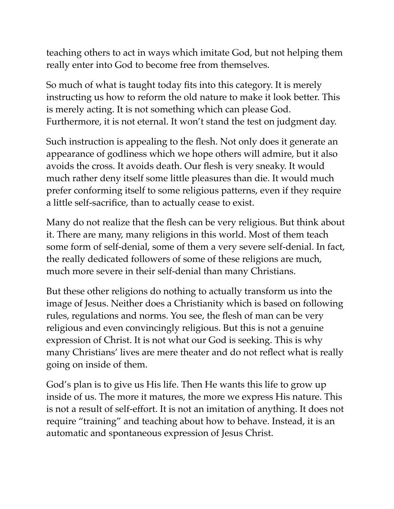teaching others to act in ways which imitate God, but not helping them really enter into God to become free from themselves.

So much of what is taught today fits into this category. It is merely instructing us how to reform the old nature to make it look better. This is merely acting. It is not something which can please God. Furthermore, it is not eternal. It won't stand the test on judgment day.

Such instruction is appealing to the flesh. Not only does it generate an appearance of godliness which we hope others will admire, but it also avoids the cross. It avoids death. Our flesh is very sneaky. It would much rather deny itself some little pleasures than die. It would much prefer conforming itself to some religious patterns, even if they require a little self-sacrifice, than to actually cease to exist.

Many do not realize that the flesh can be very religious. But think about it. There are many, many religions in this world. Most of them teach some form of self-denial, some of them a very severe self-denial. In fact, the really dedicated followers of some of these religions are much, much more severe in their self-denial than many Christians.

But these other religions do nothing to actually transform us into the image of Jesus. Neither does a Christianity which is based on following rules, regulations and norms. You see, the flesh of man can be very religious and even convincingly religious. But this is not a genuine expression of Christ. It is not what our God is seeking. This is why many Christians' lives are mere theater and do not reflect what is really going on inside of them.

God's plan is to give us His life. Then He wants this life to grow up inside of us. The more it matures, the more we express His nature. This is not a result of self-effort. It is not an imitation of anything. It does not require "training" and teaching about how to behave. Instead, it is an automatic and spontaneous expression of Jesus Christ.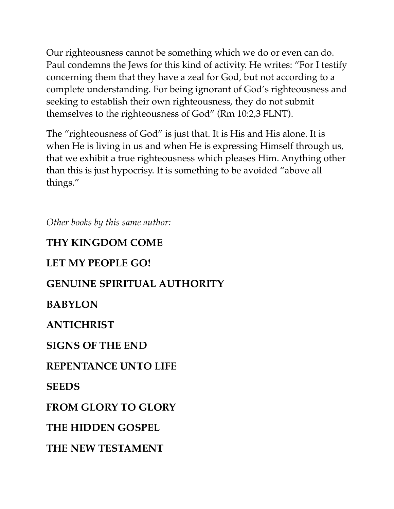Our righteousness cannot be something which we do or even can do. Paul condemns the Jews for this kind of activity. He writes: "For I testify concerning them that they have a zeal for God, but not according to a complete understanding. For being ignorant of God's righteousness and seeking to establish their own righteousness, they do not submit themselves to the righteousness of God" (Rm 10:2,3 FLNT).

The "righteousness of God" is just that. It is His and His alone. It is when He is living in us and when He is expressing Himself through us, that we exhibit a true righteousness which pleases Him. Anything other than this is just hypocrisy. It is something to be avoided "above all things."

*Other books by this same author:* 

# **THY KINGDOM COME**

#### **LET MY PEOPLE GO!**

# **GENUINE SPIRITUAL AUTHORITY**

#### **BABYLON**

#### **ANTICHRIST**

#### **SIGNS OF THE END**

#### **REPENTANCE UNTO LIFE**

#### **SEEDS**

#### **FROM GLORY TO GLORY**

#### **THE HIDDEN GOSPEL**

# **THE NEW TESTAMENT**